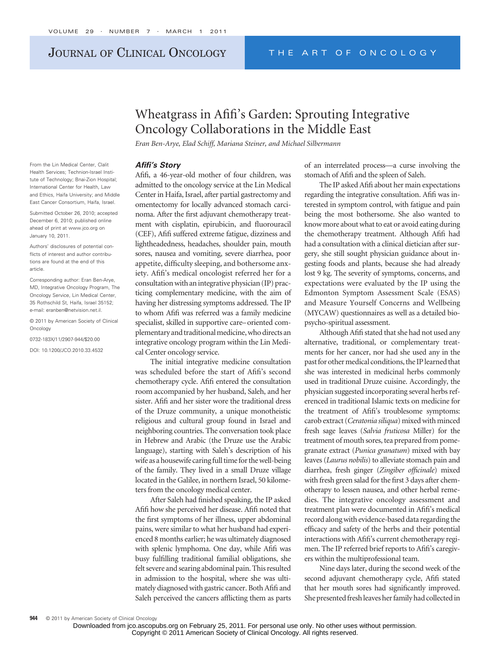## JOURNAL OF CLINICAL ONCOLOGY THE ART OF ONCOLOGY

# Wheatgrass in Afifi's Garden: Sprouting Integrative Oncology Collaborations in the Middle East

*Eran Ben-Arye, Elad Schiff, Mariana Steiner, and Michael Silbermann*

### *Afifi's Story*

Afifi, a 46-year-old mother of four children, was admitted to the oncology service at the Lin Medical Center in Haifa, Israel, after partial gastrectomy and omentectomy for locally advanced stomach carcinoma. After the first adjuvant chemotherapy treatment with cisplatin, epirubicin, and fluorouracil (CEF), Afifi suffered extreme fatigue, dizziness and lightheadedness, headaches, shoulder pain, mouth sores, nausea and vomiting, severe diarrhea, poor appetite, difficulty sleeping, and bothersome anxiety. Afifi's medical oncologist referred her for a consultation with an integrative physician (IP) practicing complementary medicine, with the aim of having her distressing symptoms addressed. The IP to whom Afifi was referred was a family medicine specialist, skilled in supportive care–oriented complementary and traditional medicine, who directs an integrative oncology program within the Lin Medical Center oncology service.

The initial integrative medicine consultation was scheduled before the start of Afifi's second chemotherapy cycle. Afifi entered the consultation room accompanied by her husband, Saleh, and her sister. Afifi and her sister wore the traditional dress of the Druze community, a unique monotheistic religious and cultural group found in Israel and neighboring countries. The conversation took place in Hebrew and Arabic (the Druze use the Arabic language), starting with Saleh's description of his wife as a housewife caring full time for the well-being of the family. They lived in a small Druze village located in the Galilee, in northern Israel, 50 kilometers from the oncology medical center.

After Saleh had finished speaking, the IP asked Afifi how she perceived her disease. Afifi noted that the first symptoms of her illness, upper abdominal pains, were similar to what her husband had experienced 8 months earlier; he was ultimately diagnosed with splenic lymphoma. One day, while Afifi was busy fulfilling traditional familial obligations, she felt severe and searing abdominal pain. This resulted in admission to the hospital, where she was ultimately diagnosed with gastric cancer. Both Afifi and Saleh perceived the cancers afflicting them as parts

of an interrelated process—a curse involving the stomach of Afifi and the spleen of Saleh.

The IP asked Afifi about her main expectations regarding the integrative consultation. Afifi was interested in symptom control, with fatigue and pain being the most bothersome. She also wanted to know more about what to eat or avoid eating during the chemotherapy treatment. Although Afifi had had a consultation with a clinical dietician after surgery, she still sought physician guidance about ingesting foods and plants, because she had already lost 9 kg. The severity of symptoms, concerns, and expectations were evaluated by the IP using the Edmonton Symptom Assessment Scale (ESAS) and Measure Yourself Concerns and Wellbeing (MYCAW) questionnaires as well as a detailed biopsycho-spiritual assessment.

Although Afifi stated that she had not used any alternative, traditional, or complementary treatments for her cancer, nor had she used any in the past for other medical conditions, the IP learned that she was interested in medicinal herbs commonly used in traditional Druze cuisine. Accordingly, the physician suggested incorporating several herbs referenced in traditional Islamic texts on medicine for the treatment of Afifi's troublesome symptoms: carob extract (*Ceratonia siliqua*) mixed with minced fresh sage leaves (*Salvia fruticosa* Miller) for the treatment of mouth sores, tea prepared from pomegranate extract (*Punica granatum*) mixed with bay leaves (*Laurus nobilis*) to alleviate stomach pain and diarrhea, fresh ginger (*Zingiber officinale*) mixed with fresh green salad for the first 3 days after chemotherapy to lessen nausea, and other herbal remedies. The integrative oncology assessment and treatment plan were documented in Afifi's medical record along with evidence-based data regarding the efficacy and safety of the herbs and their potential interactions with Afifi's current chemotherapy regimen. The IP referred brief reports to Afifi's caregivers within the multiprofessional team.

Nine days later, during the second week of the second adjuvant chemotherapy cycle, Afifi stated that her mouth sores had significantly improved. She presented fresh leaves her family had collected in

From the Lin Medical Center, Clalit Health Services; Technion-Israel Institute of Technology; Bnai-Zion Hospital; International Center for Health, Law and Ethics, Haifa University; and Middle East Cancer Consortium, Haifa, Israel.

Submitted October 26, 2010; accepted December 6, 2010; published online ahead of print at www.jco.org on January 10, 2011.

Authors' disclosures of potential conflicts of interest and author contributions are found at the end of this article.

Corresponding author: Eran Ben-Arye, MD, Integrative Oncology Program, The Oncology Service, Lin Medical Center, 35 Rothschild St, Haifa, Israel 35152; e-mail: eranben@netvision.net.il.

© 2011 by American Society of Clinical Oncology

0732-183X/11/2907-944/\$20.00

DOI: 10.1200/JCO.2010.33.4532

Downloaded from jco.ascopubs.org on February 25, 2011. For personal use only. No other uses without permission. Copyright © 2011 American Society of Clinical Oncology. All rights reserved.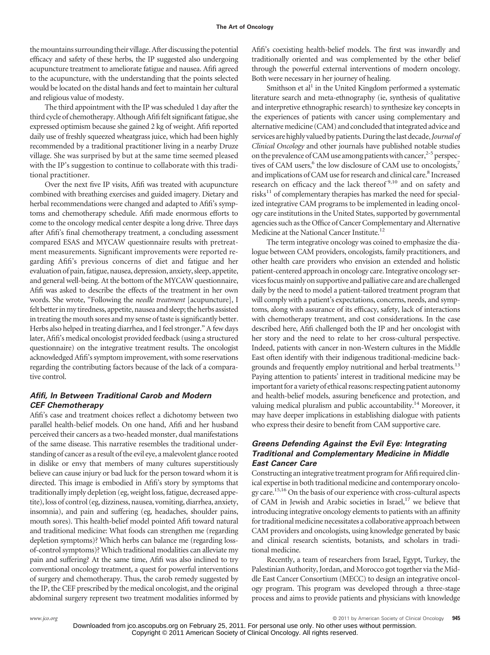the mountains surrounding their village. After discussing the potential efficacy and safety of these herbs, the IP suggested also undergoing acupuncture treatment to ameliorate fatigue and nausea. Afifi agreed to the acupuncture, with the understanding that the points selected would be located on the distal hands and feet to maintain her cultural and religious value of modesty.

The third appointment with the IP was scheduled 1 day after the third cycle of chemotherapy. Although Afifi felt significant fatigue, she expressed optimism because she gained 2 kg of weight. Afifi reported daily use of freshly squeezed wheatgrass juice, which had been highly recommended by a traditional practitioner living in a nearby Druze village. She was surprised by but at the same time seemed pleased with the IP's suggestion to continue to collaborate with this traditional practitioner.

Over the next five IP visits, Afifi was treated with acupuncture combined with breathing exercises and guided imagery. Dietary and herbal recommendations were changed and adapted to Afifi's symptoms and chemotherapy schedule. Afifi made enormous efforts to come to the oncology medical center despite a long drive. Three days after Afifi's final chemotherapy treatment, a concluding assessment compared ESAS and MYCAW questionnaire results with pretreatment measurements. Significant improvements were reported regarding Afifi's previous concerns of diet and fatigue and her evaluation of pain, fatigue, nausea, depression, anxiety, sleep, appetite, and general well-being. At the bottom of the MYCAW questionnaire, Afifi was asked to describe the effects of the treatment in her own words. She wrote, "Following the *needle treatment* [acupuncture], I felt better in my tiredness, appetite, nausea and sleep; the herbs assisted in treating the mouth sores and my sense of taste is significantly better. Herbs also helped in treating diarrhea, and I feel stronger." A few days later, Afifi's medical oncologist provided feedback (using a structured questionnaire) on the integrative treatment results. The oncologist acknowledged Afifi's symptom improvement, with some reservations regarding the contributing factors because of the lack of a comparative control.

## *Afifi, In Between Traditional Carob and Modern CEF Chemotherapy*

Afifi's case and treatment choices reflect a dichotomy between two parallel health-belief models. On one hand, Afifi and her husband perceived their cancers as a two-headed monster, dual manifestations of the same disease. This narrative resembles the traditional understanding of cancer as a result of the evil eye, amalevolent glance rooted in dislike or envy that members of many cultures superstitiously believe can cause injury or bad luck for the person toward whom it is directed. This image is embodied in Afifi's story by symptoms that traditionally imply depletion (eg, weight loss, fatigue, decreased appetite), loss of control (eg, dizziness, nausea, vomiting, diarrhea, anxiety, insomnia), and pain and suffering (eg, headaches, shoulder pains, mouth sores). This health-belief model pointed Afifi toward natural and traditional medicine: What foods can strengthen me (regarding depletion symptoms)? Which herbs can balance me (regarding lossof-control symptoms)? Which traditional modalities can alleviate my pain and suffering? At the same time, Afifi was also inclined to try conventional oncology treatment, a quest for powerful interventions of surgery and chemotherapy. Thus, the carob remedy suggested by the IP, the CEF prescribed by the medical oncologist, and the original abdominal surgery represent two treatment modalities informed by Afifi's coexisting health-belief models. The first was inwardly and traditionally oriented and was complemented by the other belief through the powerful external interventions of modern oncology. Both were necessary in her journey of healing.

Smithson et al<sup>1</sup> in the United Kingdom performed a systematic literature search and meta-ethnography (ie, synthesis of qualitative and interpretive ethnographic research) to synthesize key concepts in the experiences of patients with cancer using complementary and alternative medicine (CAM) and concluded that integrated advice and services are highly valued by patients.During thelast decade,*Journal of Clinical Oncology* and other journals have published notable studies on the prevalence of CAM use among patients with cancer, $2-5$  perspectives of CAM users,  $6$  the low disclosure of CAM use to oncologists, $7$ and implications of CAM use for research and clinical care.<sup>8</sup> Increased research on efficacy and the lack thereof<sup>9,10</sup> and on safety and risks<sup>11</sup> of complementary therapies has marked the need for specialized integrative CAM programs to be implemented in leading oncology care institutions in the United States, supported by governmental agencies such as the Office of Cancer Complementary and Alternative Medicine at the National Cancer Institute.12

The term integrative oncology was coined to emphasize the dialogue between CAM providers, oncologists, family practitioners, and other health care providers who envision an extended and holistic patient-centered approach in oncology care. Integrative oncology servicesfocusmainly on supportive and palliative care and are challenged daily by the need to model a patient-tailored treatment program that will comply with a patient's expectations, concerns, needs, and symptoms, along with assurance of its efficacy, safety, lack of interactions with chemotherapy treatment, and cost considerations. In the case described here, Afifi challenged both the IP and her oncologist with her story and the need to relate to her cross-cultural perspective. Indeed, patients with cancer in non-Western cultures in the Middle East often identify with their indigenous traditional-medicine backgrounds and frequently employ nutritional and herbal treatments.<sup>13</sup> Paying attention to patients' interest in traditional medicine may be important for a variety of ethical reasons: respecting patient autonomy and health-belief models, assuring beneficence and protection, and valuing medical pluralism and public accountability.<sup>14</sup> Moreover, it may have deeper implications in establishing dialogue with patients who express their desire to benefit from CAM supportive care.

## *Greens Defending Against the Evil Eye: Integrating Traditional and Complementary Medicine in Middle East Cancer Care*

Constructing an integrative treatment program for Afifi required clinical expertise in both traditional medicine and contemporary oncology care.15,16 On the basis of our experience with cross-cultural aspects of CAM in Jewish and Arabic societies in Israel,<sup>17</sup> we believe that introducing integrative oncology elements to patients with an affinity for traditional medicine necessitates a collaborative approach between CAM providers and oncologists, using knowledge generated by basic and clinical research scientists, botanists, and scholars in traditional medicine.

Recently, a team of researchers from Israel, Egypt, Turkey, the Palestinian Authority, Jordan, and Morocco got together via the Middle East Cancer Consortium (MECC) to design an integrative oncology program. This program was developed through a three-stage process and aims to provide patients and physicians with knowledge